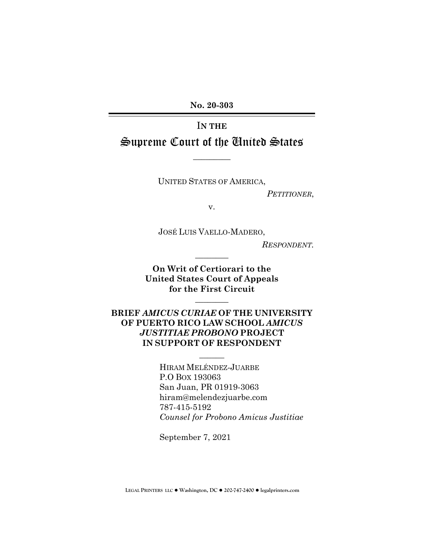**No. 20-303**

#### I**N THE**

# Supreme Court of the United States

 $\overline{\phantom{a}}$  . The set of  $\overline{\phantom{a}}$ 

UNITED STATES OF AMERICA,

*PETITIONER*,

v.

JOSÉ LUIS VAELLO-MADERO,

 $\overline{\phantom{a}}$ 

*RESPONDENT.*

**On Writ of Certiorari to the United States Court of Appeals for the First Circuit** 

 $\overline{\phantom{a}}$   $\overline{\phantom{a}}$ 

**BRIEF** *AMICUS CURIAE* **OF THE UNIVERSITY OF PUERTO RICO LAW SCHOOL** *AMICUS JUSTITIAE PROBONO* **PROJECT IN SUPPORT OF RESPONDENT**

 $\overline{\phantom{a}}$ 

HIRAM MELÉNDEZ-JUARBE P.O BOX 193063 San Juan, PR 01919-3063 hiram@melendezjuarbe.com 787-415-5192 *Counsel for Probono Amicus Justitiae*

September 7, 2021

**LEGAL PRINTERS LLC** ! **Washington, DC** ! **202-747-2400** ! **legalprinters.com**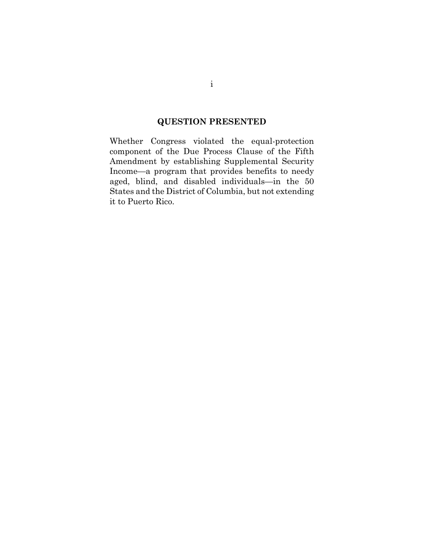#### **QUESTION PRESENTED**

Whether Congress violated the equal-protection component of the Due Process Clause of the Fifth Amendment by establishing Supplemental Security Income—a program that provides benefits to needy aged, blind, and disabled individuals—in the 50 States and the District of Columbia, but not extending it to Puerto Rico.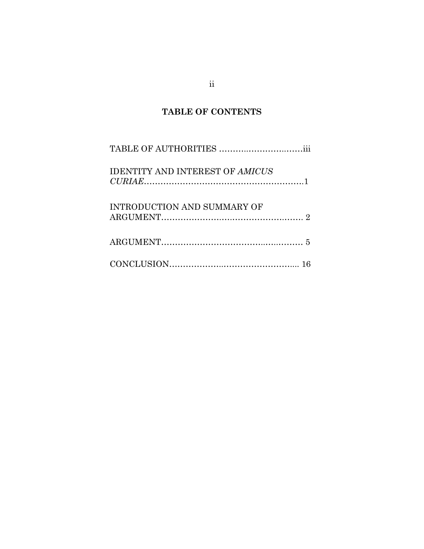## **TABLE OF CONTENTS**

| <b>IDENTITY AND INTEREST OF AMICUS</b> |
|----------------------------------------|
| INTRODUCTION AND SUMMARY OF            |
|                                        |
|                                        |

ii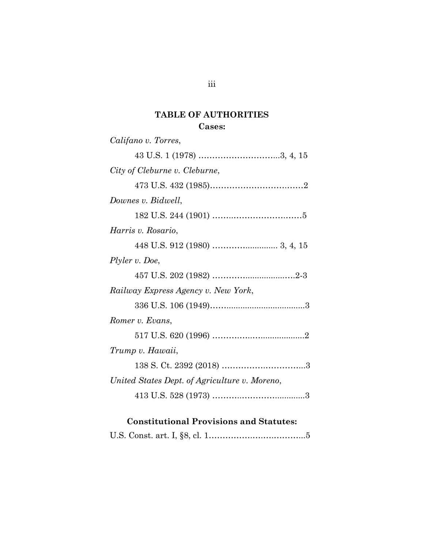## **TABLE OF AUTHORITIES Cases:**

| Califano v. Torres,                           |
|-----------------------------------------------|
|                                               |
| City of Cleburne v. Cleburne,                 |
|                                               |
| Downes v. Bidwell,                            |
|                                               |
| Harris v. Rosario,                            |
|                                               |
| Plyler v. Doe,                                |
|                                               |
| Railway Express Agency v. New York,           |
|                                               |
| Romer v. Evans,                               |
|                                               |
| Trump v. Hawaii,                              |
|                                               |
| United States Dept. of Agriculture v. Moreno, |
|                                               |

## **Constitutional Provisions and Statutes:**

|--|--|--|--|--|--|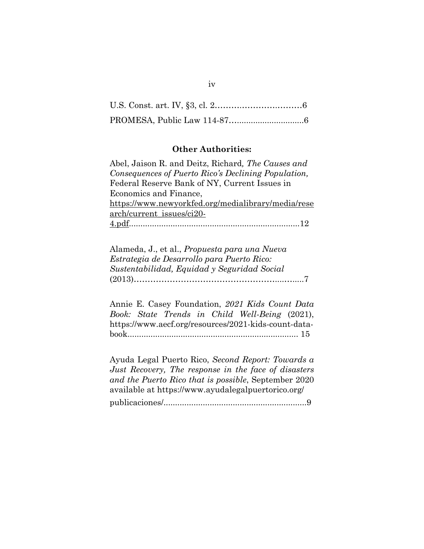#### **Other Authorities:**

Abel, Jaison R. and Deitz, Richard*, The Causes and Consequences of Puerto Rico's Declining Population,*  Federal Reserve Bank of NY, Current Issues in Economics and Finance[,](https://www.newyorkfed.org/medialibrary/media/research/current_issues/ci20-4.pdf) [https://www.newyorkfed.org/medialibrary/media/rese](https://www.newyorkfed.org/medialibrary/media/research/current_issues/ci20-4.pdf) [arch/current\\_issues/ci20-](https://www.newyorkfed.org/medialibrary/media/research/current_issues/ci20-4.pdf) [4.pdf.](https://www.newyorkfed.org/medialibrary/media/research/current_issues/ci20-4.pdf).........................................................................12

Alameda, J., et al., *Propuesta para una Nueva Estrategia de Desarrollo para Puerto Rico: Sustentabilidad, Equidad y Seguridad Social*  (2013)……………………………………………....….....7

Annie E. Casey Foundation, *2021 Kids Count Data Book: State Trends in Child Well-Being* (2021), https://www.aecf.org/resources/2021-kids-count-databook.......................................................................... 15

Ayuda Legal Puerto Rico, *Second Report: Towards a Just Recovery, The response in the face of disasters and the Puerto Rico that is possible*, September 2020 available at https://www.ayudalegalpuertorico.org/ publicaciones/..............................................................9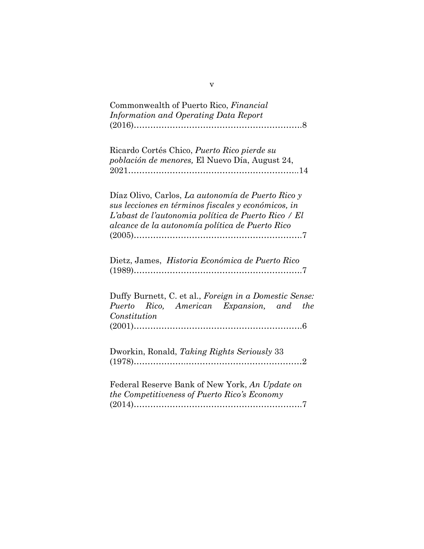| Commonwealth of Puerto Rico, Financial                                                                                                                                                                             |
|--------------------------------------------------------------------------------------------------------------------------------------------------------------------------------------------------------------------|
| Information and Operating Data Report                                                                                                                                                                              |
| Ricardo Cortés Chico, <i>Puerto Rico pierde su</i><br>población de menores, El Nuevo Día, August 24,                                                                                                               |
| Díaz Olivo, Carlos, La autonomía de Puerto Rico y<br>sus lecciones en términos fiscales y económicos, in<br>L'abast de l'autonomia política de Puerto Rico / El<br>alcance de la autonomía política de Puerto Rico |
| Dietz, James, Historia Económica de Puerto Rico                                                                                                                                                                    |
| Duffy Burnett, C. et al., Foreign in a Domestic Sense:<br>Puerto Rico, American Expansion, and<br>the<br>Constitution                                                                                              |
| Dworkin, Ronald, Taking Rights Seriously 33                                                                                                                                                                        |
| Federal Reserve Bank of New York, An Update on<br>the Competitiveness of Puerto Rico's Economy                                                                                                                     |

v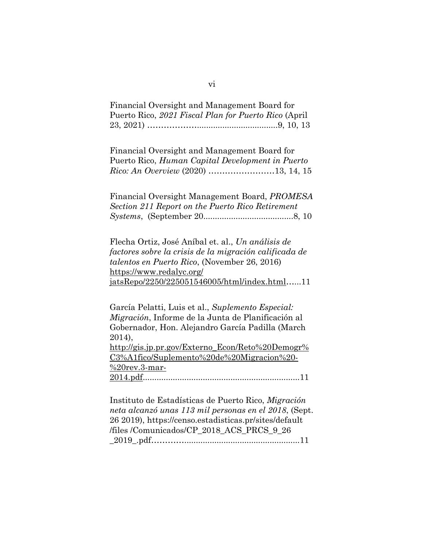Financial Oversight and Management Board for Puerto Rico, *2021 Fiscal Plan for Puerto Rico* (April 23, 2021) ………………...................................9, 10, 13

Financial Oversight and Management Board for Puerto Rico, *Human Capital Development in Puerto Rico: An Overview* (2020) ……………………13, 14, 15

Financial Oversight Management Board, *PROMESA Section 211 Report on the Puerto Rico Retirement Systems*, (September 20.......................................8, 10

Flecha Ortiz, José Aníbal et. al., *Un análisis de factores sobre la crisis de la migración calificada de talentos en Puerto Rico*, (November 26, 2016[\)](https://www.redalyc.org/jatsRepo/2250/225051546005/html/index.html) [https://www.redalyc.org/](https://www.redalyc.org/jatsRepo/2250/225051546005/html/index.html)  [jatsRepo/2250/225051546005/html/index.html…](https://www.redalyc.org/jatsRepo/2250/225051546005/html/index.html)...11

García Pelatti, Luis et al., *Suplemento Especial: Migración*, Informe de la Junta de Planificación al Gobernador, Hon. Alejandro García Padilla (March 2014), [http://gis.jp.pr.gov/Externo\\_Econ/Reto%20Demogr%](http://gis.jp.pr.gov/Externo_Econ/Reto%20Demogr%C3%A1fico/Suplemento%20de%20Migracion%20-%20rev.3-mar-2014.pdf)

[C3%A1fico/Suplemento%20de%20Migracion%20-](http://gis.jp.pr.gov/Externo_Econ/Reto%20Demogr%C3%A1fico/Suplemento%20de%20Migracion%20-%20rev.3-mar-2014.pdf) [%20rev.3-mar-](http://gis.jp.pr.gov/Externo_Econ/Reto%20Demogr%C3%A1fico/Suplemento%20de%20Migracion%20-%20rev.3-mar-2014.pdf)[2014.pdf.](http://gis.jp.pr.gov/Externo_Econ/Reto%20Demogr%C3%A1fico/Suplemento%20de%20Migracion%20-%20rev.3-mar-2014.pdf)...................................................................11

Instituto de Estadísticas de Puerto Rico, *Migración neta alcanzó unas 113 mil personas en el 2018*, (Sept. 26 2019), https://censo.estadisticas.pr/sites/default /files /Comunicados/CP\_2018\_ACS\_PRCS\_9\_26 \_2019\_.pdf…………..................................................11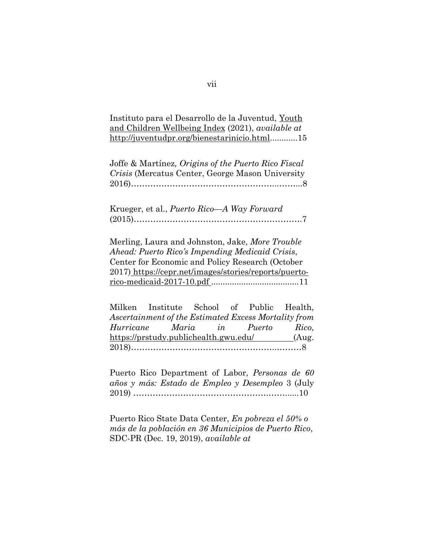Instituto para el Desarrollo de la Juventud, Youth and Children Wellbeing Index (2021), *available at* [http://juventudpr.org/bienestarinicio.html.](http://juventudpr.org/bienestarinicio.html)...........15

Joffe & Martínez*, Origins of the Puerto Rico Fiscal Crisis* (Mercatus Center, George Mason University 2016)……………………………………………...……...8

Krueger, et al., *Puerto Rico—A Way Forward*  (2015)…………………………………………………….7

Merling, Laura and Johnston, Jake, *More Trouble Ahead: Puerto Rico's Impending Medicaid Crisis*, Center for Economic and Policy Research (October 2017) [https://cepr.net/images/stories/reports/puerto](https://cepr.net/images/stories/reports/puerto-rico-medicaid-2017-10.pdf)[rico-medicaid-2017-10.pdf](https://cepr.net/images/stories/reports/puerto-rico-medicaid-2017-10.pdf) *......................................*11

Milken Institute School of Public Health, *Ascertainment of the Estimated Excess Mortality from Hurricane Maria in Puerto Rico*, <https://prstudy.publichealth.gwu.edu/> (Aug. 2018)……………………………………………..………8

Puerto Rico Department of Labor, *Personas de 60 años y más: Estado de Empleo y Desempleo* 3 (July 2019) ………………………………………….……......10

Puerto Rico State Data Center, *En pobreza el 50% o más de la población en 36 Municipios de Puerto Rico*, SDC-PR (Dec. 19, 2019), *available at*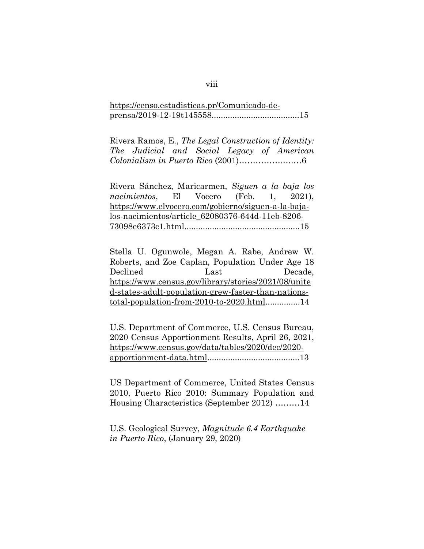#### [https://censo.estadisticas.pr/Comunicado-de](https://censo.estadisticas.pr/Comunicado-de-prensa/2019-12-19t145558)[prensa/2019-12-19t145558.](https://censo.estadisticas.pr/Comunicado-de-prensa/2019-12-19t145558).....................................15

Rivera Ramos, E., *The Legal Construction of Identity: The Judicial and Social Legacy of American Colonialism in Puerto Rico* (2001)…………….….…6

Rivera Sánchez, Maricarmen, *Siguen a la baja los nacimientos*, El Vocero (Feb. 1, 2021), [https://www.elvocero.com/gobierno/siguen-a-la-baja](https://www.elvocero.com/gobierno/siguen-a-la-baja-los-nacimientos/article_62080376-644d-11eb-8206-73098e6373c1.html)[los-nacimientos/article\\_62080376-644d-11eb-8206-](https://www.elvocero.com/gobierno/siguen-a-la-baja-los-nacimientos/article_62080376-644d-11eb-8206-73098e6373c1.html) [73098e6373c1.html.](https://www.elvocero.com/gobierno/siguen-a-la-baja-los-nacimientos/article_62080376-644d-11eb-8206-73098e6373c1.html).................................................15

Stella U. Ogunwole, Megan A. Rabe, Andrew W. Roberts, and Zoe Caplan, Population Under Age 18 Declined Last Decade. https://www.census.gov/library/stories/2021/08/unite d-states-adult-population-grew-faster-than-nationstotal-population-from-2010-to-2020.html...............14

U.S. Department of Commerce, U.S. Census Bureau, 2020 Census Apportionment Results, April 26, 2021, https://www.census.gov/data/tables/2020/dec/2020 apportionment-data.html........................................13

US Department of Commerce, United States Census 2010, Puerto Rico 2010: Summary Population and Housing Characteristics (September 2012) ………14

U.S. Geological Survey, *Magnitude 6.4 Earthquake in Puerto Rico*, (January 29, 2020)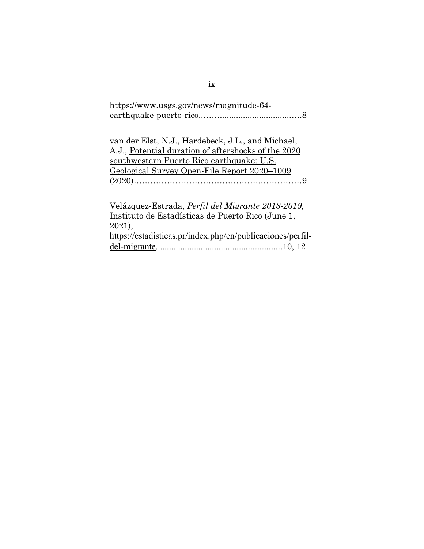| https://www.usgs.gov/news/magnitude-64- |  |
|-----------------------------------------|--|
|                                         |  |

van der Elst, N.J., Hardebeck, J.L., and Michael, A.J., Potential duration of aftershocks of the 2020 southwestern Puerto Rico earthquake: U.S. Geological Survey Open-File Report 2020–1009 (2020)……………………………………….……………9

Velázquez-Estrada, *Perfil del Migrante 2018-2019*, Instituto de Estadísticas de Puerto Rico (June 1, 2021), https://estadisticas.pr/index.php/en/publicaciones/perfildel-migrante........................................................10, 12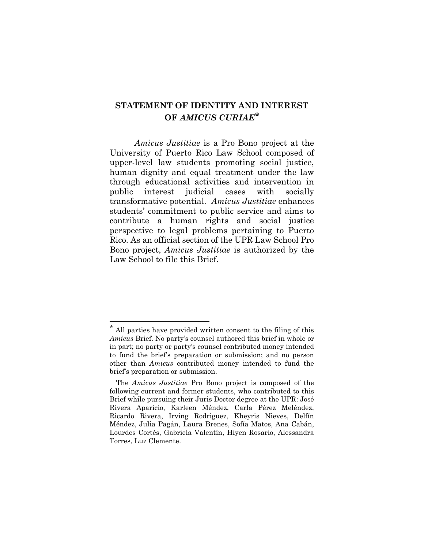### **STATEMENT OF IDENTITY AND INTEREST OF** *AMICUS CURIAE***[\\*](#page-10-0)**

*Amicus Justitiae* is a Pro Bono project at the University of Puerto Rico Law School composed of upper-level law students promoting social justice, human dignity and equal treatment under the law through educational activities and intervention in public interest judicial cases with socially transformative potential. *Amicus Justitiae* enhances students' commitment to public service and aims to contribute a human rights and social justice perspective to legal problems pertaining to Puerto Rico. As an official section of the UPR Law School Pro Bono project, *Amicus Justitiae* is authorized by the Law School to file this Brief.

<span id="page-10-0"></span>All parties have provided written consent to the filing of this *Amicus* Brief. No party's counsel authored this brief in whole or in part; no party or party's counsel contributed money intended to fund the brief's preparation or submission; and no person other than *Amicus* contributed money intended to fund the brief's preparation or submission.

The *Amicus Justitiae* Pro Bono project is composed of the following current and former students, who contributed to this Brief while pursuing their Juris Doctor degree at the UPR: José Rivera Aparicio, Karleen Méndez, Carla Pérez Meléndez, Ricardo Rivera, Irving Rodriguez, Kheyris Nieves, Delfín Méndez, Julia Pagán, Laura Brenes, Sofía Matos, Ana Cabán, Lourdes Cortés, Gabriela Valentín, Hiyen Rosario, Alessandra Torres, Luz Clemente.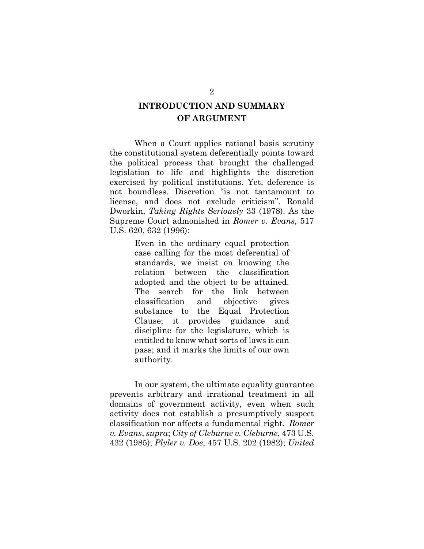## **INTRODUCTION AND SUMMARY OF ARGUMENT**

When a Court applies rational basis scrutiny the constitutional system deferentially points toward the political process that brought the challenged legislation to life and highlights the discretion exercised by political institutions. Yet, deference is not boundless. Discretion "is not tantamount to license, and does not exclude criticism". Ronald Dworkin, *Taking Rights Seriously* 33 (1978). As the Supreme Court admonished in *Romer v. Evans*, 517 U.S. 620, 632 (1996):

> Even in the ordinary equal protection case calling for the most deferential of standards, we insist on knowing the relation between the classification adopted and the object to be attained. The search for the link between classification and objective gives substance to the Equal Protection Clause; it provides guidance and discipline for the legislature, which is entitled to know what sorts of laws it can pass; and it marks the limits of our own authority.

In our system, the ultimate equality guarantee prevents arbitrary and irrational treatment in all domains of government activity, even when such activity does not establish a presumptively suspect classification nor affects a fundamental right. *Romer v. Evans*, *supra*; *City of Cleburne v. Cleburne*, 473 U.S. 432 (1985); *Plyler v. Doe*, 457 U.S. 202 (1982); *United*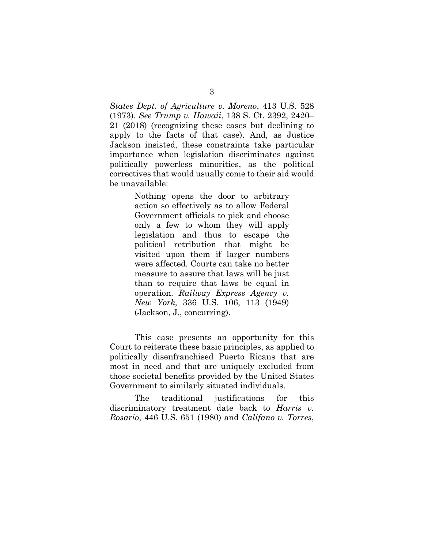*States Dept. of Agriculture v. Moreno*, 413 U.S. 528 (1973). *See Trump v. Hawaii*, 138 S. Ct. 2392, 2420– 21 (2018) (recognizing these cases but declining to apply to the facts of that case). And, as Justice Jackson insisted, these constraints take particular importance when legislation discriminates against politically powerless minorities, as the political correctives that would usually come to their aid would be unavailable:

> Nothing opens the door to arbitrary action so effectively as to allow Federal Government officials to pick and choose only a few to whom they will apply legislation and thus to escape the political retribution that might be visited upon them if larger numbers were affected. Courts can take no better measure to assure that laws will be just than to require that laws be equal in operation. *Railway Express Agency v. New York*, 336 U.S. 106, 113 (1949) (Jackson, J., concurring).

This case presents an opportunity for this Court to reiterate these basic principles, as applied to politically disenfranchised Puerto Ricans that are most in need and that are uniquely excluded from those societal benefits provided by the United States Government to similarly situated individuals.

The traditional justifications for this discriminatory treatment date back to *Harris v. Rosario*, 446 U.S. 651 (1980) and *Califano v. Torres*,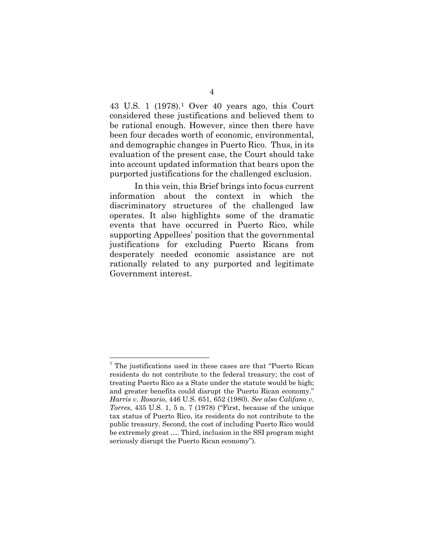43 U.S. 1 (1978).[1](#page-13-0) Over 40 years ago, this Court considered these justifications and believed them to be rational enough. However, since then there have been four decades worth of economic, environmental, and demographic changes in Puerto Rico. Thus, in its evaluation of the present case, the Court should take into account updated information that bears upon the purported justifications for the challenged exclusion.

In this vein, this Brief brings into focus current information about the context in which the discriminatory structures of the challenged law operates. It also highlights some of the dramatic events that have occurred in Puerto Rico, while supporting Appellees' position that the governmental justifications for excluding Puerto Ricans from desperately needed economic assistance are not rationally related to any purported and legitimate Government interest.

<span id="page-13-0"></span><sup>1</sup> The justifications used in these cases are that "Puerto Rican residents do not contribute to the federal treasury; the cost of treating Puerto Rico as a State under the statute would be high; and greater benefits could disrupt the Puerto Rican economy." *Harris v. Rosario*, 446 U.S. 651, 652 (1980). *See also Califano v. Torres*, 435 U.S. 1, 5 n. 7 (1978) ("First, because of the unique tax status of Puerto Rico, its residents do not contribute to the public treasury. Second, the cost of including Puerto Rico would be extremely great …. Third, inclusion in the SSI program might seriously disrupt the Puerto Rican economy").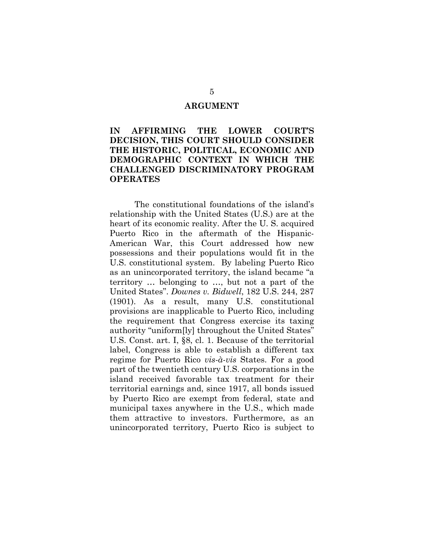#### **ARGUMENT**

#### **IN AFFIRMING THE LOWER COURT'S DECISION, THIS COURT SHOULD CONSIDER THE HISTORIC, POLITICAL, ECONOMIC AND DEMOGRAPHIC CONTEXT IN WHICH THE CHALLENGED DISCRIMINATORY PROGRAM OPERATES**

The constitutional foundations of the island's relationship with the United States (U.S.) are at the heart of its economic reality. After the U. S. acquired Puerto Rico in the aftermath of the Hispanic-American War, this Court addressed how new possessions and their populations would fit in the U.S. constitutional system. By labeling Puerto Rico as an unincorporated territory, the island became "a territory … belonging to …, but not a part of the United States". *Downes v. Bidwell*, 182 U.S. 244, 287 (1901). As a result, many U.S. constitutional provisions are inapplicable to Puerto Rico, including the requirement that Congress exercise its taxing authority "uniform[ly] throughout the United States" U.S. Const. art. I, §8, cl. 1. Because of the territorial label, Congress is able to establish a different tax regime for Puerto Rico *vis-à-vis* States. For a good part of the twentieth century U.S. corporations in the island received favorable tax treatment for their territorial earnings and, since 1917, all bonds issued by Puerto Rico are exempt from federal, state and municipal taxes anywhere in the U.S., which made them attractive to investors. Furthermore, as an unincorporated territory, Puerto Rico is subject to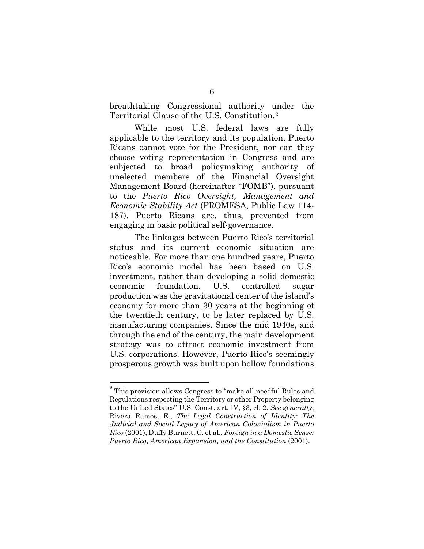breathtaking Congressional authority under the Territorial Clause of the U.S. Constitution.[2](#page-15-0) 

While most U.S. federal laws are fully applicable to the territory and its population, Puerto Ricans cannot vote for the President, nor can they choose voting representation in Congress and are subjected to broad policymaking authority of unelected members of the Financial Oversight Management Board (hereinafter "FOMB"), pursuant to the *Puerto Rico Oversight, Management and Economic Stability Act* (PROMESA, Public Law 114- 187). Puerto Ricans are, thus, prevented from engaging in basic political self-governance.

The linkages between Puerto Rico's territorial status and its current economic situation are noticeable. For more than one hundred years, Puerto Rico's economic model has been based on U.S. investment, rather than developing a solid domestic economic foundation. U.S. controlled sugar production was the gravitational center of the island's economy for more than 30 years at the beginning of the twentieth century, to be later replaced by U.S. manufacturing companies. Since the mid 1940s, and through the end of the century, the main development strategy was to attract economic investment from U.S. corporations. However, Puerto Rico's seemingly prosperous growth was built upon hollow foundations

<span id="page-15-0"></span> $^{\rm 2}$  This provision allows Congress to "make all needful Rules and Regulations respecting the Territory or other Property belonging to the United States" U.S. Const. art. IV, §3, cl. 2. *See generally*, Rivera Ramos, E., *The Legal Construction of Identity: The Judicial and Social Legacy of American Colonialism in Puerto Rico* (2001); Duffy Burnett, C. et al., *Foreign in a Domestic Sense: Puerto Rico, American Expansion, and the Constitution (2001).*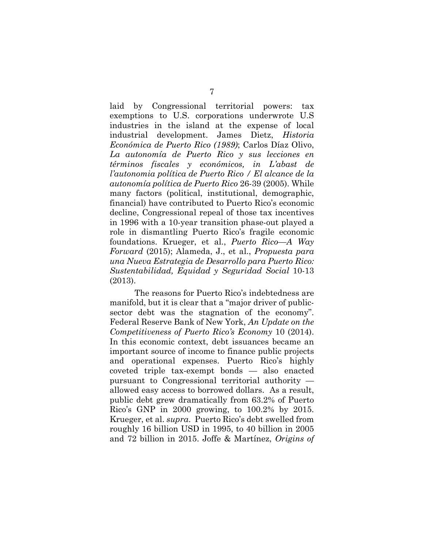laid by Congressional territorial powers: tax exemptions to U.S. corporations underwrote U.S industries in the island at the expense of local industrial development. James Dietz, *Historia Económica de Puerto Rico (1989)*; Carlos Díaz Olivo, *La autonomía de Puerto Rico y sus lecciones en términos fiscales y económicos, in L'abast de l'autonomia política de Puerto Rico / El alcance de la autonomía política de Puerto Rico* 26-39 (2005). While many factors (political, institutional, demographic, financial) have contributed to Puerto Rico's economic decline, Congressional repeal of those tax incentives in 1996 with a 10-year transition phase-out played a role in dismantling Puerto Rico's fragile economic foundations. Krueger, et al., *Puerto Rico—A Way Forward* (2015); Alameda, J., et al., *Propuesta para una Nueva Estrategia de Desarrollo para Puerto Rico: Sustentabilidad, Equidad y Seguridad Social* 10-13 (2013).

The reasons for Puerto Rico's indebtedness are manifold, but it is clear that a "major driver of publicsector debt was the stagnation of the economy". Federal Reserve Bank of New York, *An Update on the Competitiveness of Puerto Rico's Economy* 10 (2014). In this economic context, debt issuances became an important source of income to finance public projects and operational expenses. Puerto Rico's highly coveted triple tax-exempt bonds — also enacted pursuant to Congressional territorial authority allowed easy access to borrowed dollars. As a result, public debt grew dramatically from 63.2% of Puerto Rico's GNP in 2000 growing, to 100.2% by 2015. Krueger, et al. *supra*. Puerto Rico's debt swelled from roughly 16 billion USD in 1995, to 40 billion in 2005 and 72 billion in 2015. Joffe & Martínez, *Origins of*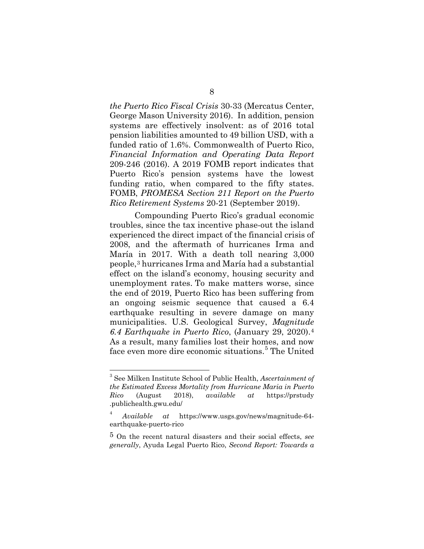*the Puerto Rico Fiscal Crisis* 30-33 (Mercatus Center, George Mason University 2016). In addition, pension systems are effectively insolvent: as of 2016 total pension liabilities amounted to 49 billion USD, with a funded ratio of 1.6%. Commonwealth of Puerto Rico, *Financial Information and Operating Data Report* 209-246 (2016). A 2019 FOMB report indicates that Puerto Rico's pension systems have the lowest funding ratio, when compared to the fifty states. FOMB, *PROMESA Section 211 Report on the Puerto Rico Retirement Systems* 20-21 (September 2019).

Compounding Puerto Rico's gradual economic troubles, since the tax incentive phase-out the island experienced the direct impact of the financial crisis of 2008, and the aftermath of hurricanes Irma and María in 2017. With a death toll nearing 3,000 people,[3](#page-17-0) hurricanes Irma and María had a substantial effect on the island's economy, housing security and unemployment rates. To make matters worse, since the end of 2019, Puerto Rico has been suffering from an ongoing seismic sequence that caused a 6.4 earthquake resulting in severe damage on many municipalities. U.S. Geological Survey, *Magnitude 6.4 Earthquake in Puerto Rico*, (January 29, 2020).[4](#page-17-1) As a result, many families lost their homes, and now face even more dire economic situations.<sup>[5](#page-17-2)</sup> The United

<span id="page-17-0"></span><sup>3</sup> See Milken Institute School of Public Health, *Ascertainment of the Estimated Excess Mortality from Hurricane Maria in Puerto Rico* (August 2018), *available at* https://prstudy .publichealth.gwu.edu/

<span id="page-17-1"></span><sup>4</sup> *Available at* https://www.usgs.gov/news/magnitude-64 earthquake-puerto-rico

<span id="page-17-2"></span><sup>5</sup> On the recent natural disasters and their social effects, *see generally*, Ayuda Legal Puerto Rico, *Second Report: Towards a*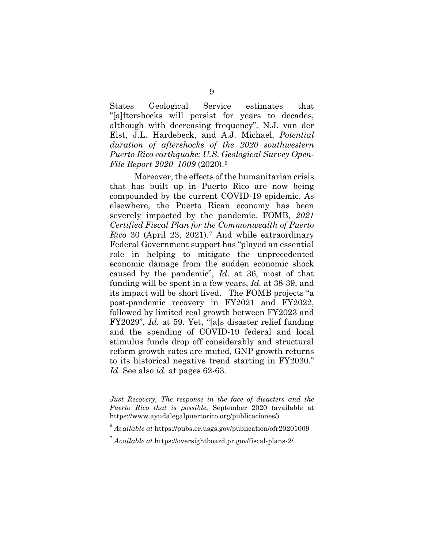States Geological Service estimates that "[a]ftershocks will persist for years to decades, although with decreasing frequency"*.* N.J. van der Elst, J.L. Hardebeck, and A.J. Michael, *Potential duration of aftershocks of the 2020 southwestern Puerto Rico earthquake: U.S. Geological Survey Open-File Report 2020–1009* (2020).[6](#page-18-0) 

Moreover, the effects of the humanitarian crisis that has built up in Puerto Rico are now being compounded by the current COVID-19 epidemic. As elsewhere, the Puerto Rican economy has been severely impacted by the pandemic. FOMB, *2021 Certified Fiscal Plan for the Commonwealth of Puerto Rico* 30 (April 23, 2021).[7](#page-18-1) And while extraordinary Federal Government support has "played an essential role in helping to mitigate the unprecedented economic damage from the sudden economic shock caused by the pandemic", *Id*. at 36, most of that funding will be spent in a few years, *Id.* at 38-39, and its impact will be short lived. The FOMB projects "a post-pandemic recovery in FY2021 and FY2022, followed by limited real growth between FY2023 and FY2029", *Id.* at 59. Yet, "[a]s disaster relief funding and the spending of COVID-19 federal and local stimulus funds drop off considerably and structural reform growth rates are muted, GNP growth returns to its historical negative trend starting in FY2030." *Id.* See also *id.* at pages 62-63.

*Just Recovery, The response in the face of disasters and the Puerto Rico that is possible*, September 2020 (available at https://www.ayudalegalpuertorico.org/publicaciones/)

<span id="page-18-0"></span><sup>6</sup> *Available at* https://pubs.er.usgs.gov/publication/ofr20201009

<span id="page-18-1"></span><sup>7</sup> *Available at* <https://oversightboard.pr.gov/fiscal-plans-2/>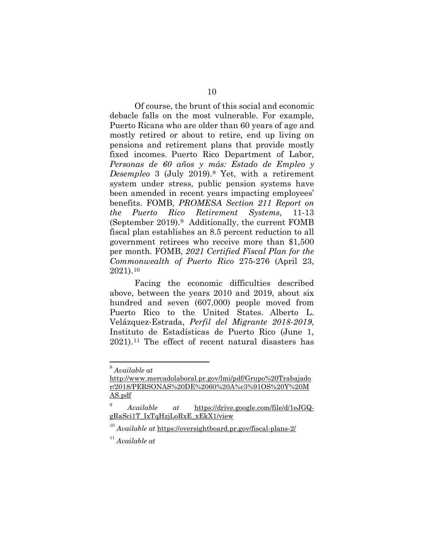Of course, the brunt of this social and economic debacle falls on the most vulnerable. For example, Puerto Ricans who are older than 60 years of age and mostly retired or about to retire, end up living on pensions and retirement plans that provide mostly fixed incomes. Puerto Rico Department of Labor, *Personas de 60 años y más: Estado de Empleo y Desempleo* 3 (July 2019).[8](#page-19-0) Yet, with a retirement system under stress, public pension systems have been amended in recent years impacting employees' benefits. FOMB, *PROMESA Section 211 Report on the Puerto Rico Retirement Systems*, 11-13 (September 2019).[9](#page-19-1) Additionally, the current FOMB fiscal plan establishes an 8.5 percent reduction to all government retirees who receive more than \$1,500 per month. FOMB, *2021 Certified Fiscal Plan for the Commonwealth of Puerto Rico* 275-276 (April 23, 2021).[10](#page-19-2) 

Facing the economic difficulties described above, between the years 2010 and 2019, about six hundred and seven (607,000) people moved from Puerto Rico to the United States. Alberto L. Velázquez-Estrada, *Perfil del Migrante 2018-2019*, Instituto de Estadísticas de Puerto Rico (June 1, 2021).[11](#page-19-3) The effect of recent natural disasters has

<span id="page-19-0"></span><sup>8</sup> *Available at*

[http://www.mercadolaboral.pr.gov/lmi/pdf/Grupo%20Trabajado](http://www.mercadolaboral.pr.gov/lmi/pdf/Grupo%20Trabajador/2018/PERSONAS%20DE%2060%20A%c3%91OS%20Y%20MAS.pdf) [r/2018/PERSONAS%20DE%2060%20A%c3%91OS%20Y%20M](http://www.mercadolaboral.pr.gov/lmi/pdf/Grupo%20Trabajador/2018/PERSONAS%20DE%2060%20A%c3%91OS%20Y%20MAS.pdf) [AS.pdf](http://www.mercadolaboral.pr.gov/lmi/pdf/Grupo%20Trabajador/2018/PERSONAS%20DE%2060%20A%c3%91OS%20Y%20MAS.pdf)

<span id="page-19-1"></span><sup>9</sup> *Available at* https://drive.google.com/file/d/1eJGQgRaSci1T\_IxTqHzjLoRxE\_xEkX1/view

<sup>10</sup> *Available at* <https://oversightboard.pr.gov/fiscal-plans-2/>

<span id="page-19-3"></span><span id="page-19-2"></span><sup>11</sup> *Available at*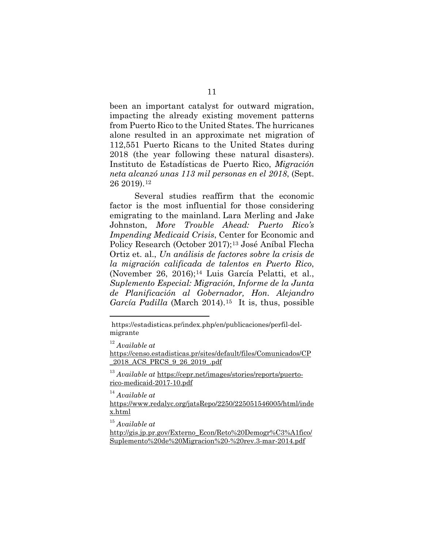been an important catalyst for outward migration, impacting the already existing movement patterns from Puerto Rico to the United States. The hurricanes alone resulted in an approximate net migration of 112,551 Puerto Ricans to the United States during 2018 (the year following these natural disasters). Instituto de Estadísticas de Puerto Rico, *Migración neta alcanzó unas 113 mil personas en el 2018*, (Sept. 26 2019).[12](#page-20-0) 

Several studies reaffirm that the economic factor is the most influential for those considering emigrating to the mainland. Lara Merling and Jake Johnston, *More Trouble Ahead: Puerto Rico's Impending Medicaid Crisis*, Center for Economic and Policy Research (October 2017);[13](#page-20-1) José Aníbal Flecha Ortiz et. al., *Un análisis de factores sobre la crisis de la migración calificada de talentos en Puerto Rico*, (November 26, 2016);[14](#page-20-2) Luis García Pelatti, et al., *Suplemento Especial: Migración, Informe de la Junta de Planificación al Gobernador, Hon. Alejandro García Padilla* (March 2014).[15](#page-20-3) It is, thus, possible

<sup>14</sup> *Available at* 

https://estadisticas.pr/index.php/en/publicaciones/perfil-delmigrante

<sup>12</sup> *Available at*

<span id="page-20-0"></span>[https://censo.estadisticas.pr/sites/default/files/Comunicados/CP](https://censo.estadisticas.pr/sites/default/files/Comunicados/CP_2018_ACS_PRCS_9_26_2019_.pdf) [\\_2018\\_ACS\\_PRCS\\_9\\_26\\_2019\\_.pdf](https://censo.estadisticas.pr/sites/default/files/Comunicados/CP_2018_ACS_PRCS_9_26_2019_.pdf) 

<span id="page-20-1"></span><sup>13</sup> *Available at* [https://cepr.net/images/stories/reports/puerto](https://cepr.net/images/stories/reports/puerto-rico-medicaid-2017-10.pdf)[rico-medicaid-2017-10.pdf](https://cepr.net/images/stories/reports/puerto-rico-medicaid-2017-10.pdf) 

<span id="page-20-2"></span>[https://www.redalyc.org/jatsRepo/2250/225051546005/html/inde](https://www.redalyc.org/jatsRepo/2250/225051546005/html/index.html) [x.html](https://www.redalyc.org/jatsRepo/2250/225051546005/html/index.html)

<sup>15</sup> *Available at*

<span id="page-20-3"></span>[http://gis.jp.pr.gov/Externo\\_Econ/Reto%20Demogr%C3%A1fico/](http://gis.jp.pr.gov/Externo_Econ/Reto%20Demogr%C3%A1fico/Suplemento%20de%20Migracion%20-%20rev.3-mar-2014.pdf) [Suplemento%20de%20Migracion%20-%20rev.3-mar-2014.pdf](http://gis.jp.pr.gov/Externo_Econ/Reto%20Demogr%C3%A1fico/Suplemento%20de%20Migracion%20-%20rev.3-mar-2014.pdf)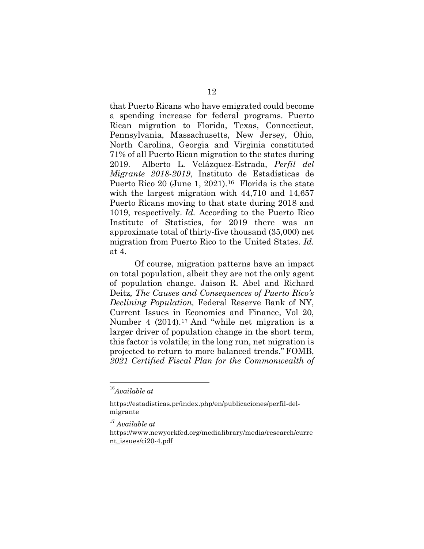that Puerto Ricans who have emigrated could become a spending increase for federal programs. Puerto Rican migration to Florida, Texas, Connecticut, Pennsylvania, Massachusetts, New Jersey, Ohio, North Carolina, Georgia and Virginia constituted 71% of all Puerto Rican migration to the states during 2019. Alberto L. Velázquez-Estrada, *Perfil del Migrante 2018-2019*, Instituto de Estadísticas de Puerto Rico 20 (June 1, 2021).<sup>16</sup> Florida is the state with the largest migration with 44,710 and 14,657 Puerto Ricans moving to that state during 2018 and 1019, respectively. *Id.* According to the Puerto Rico Institute of Statistics, for 2019 there was an approximate total of thirty-five thousand (35,000) net migration from Puerto Rico to the United States. *Id.*  at 4.

Of course, migration patterns have an impact on total population, albeit they are not the only agent of population change. Jaison R. Abel and Richard Deitz*, The Causes and Consequences of Puerto Rico's Declining Population,* Federal Reserve Bank of NY, Current Issues in Economics and Finance, Vol 20, Number 4 (2014).[17](#page-21-1) And "while net migration is a larger driver of population change in the short term, this factor is volatile; in the long run, net migration is projected to return to more balanced trends." FOMB, *2021 Certified Fiscal Plan for the Commonwealth of* 

<span id="page-21-0"></span><sup>16</sup>*Available at*

https://estadisticas.pr/index.php/en/publicaciones/perfil-delmigrante

<sup>17</sup> *Available at*

<span id="page-21-1"></span>[https://www.newyorkfed.org/medialibrary/media/research/curre](https://www.newyorkfed.org/medialibrary/media/research/current_issues/ci20-4.pdf) [nt\\_issues/ci20-4.pdf](https://www.newyorkfed.org/medialibrary/media/research/current_issues/ci20-4.pdf)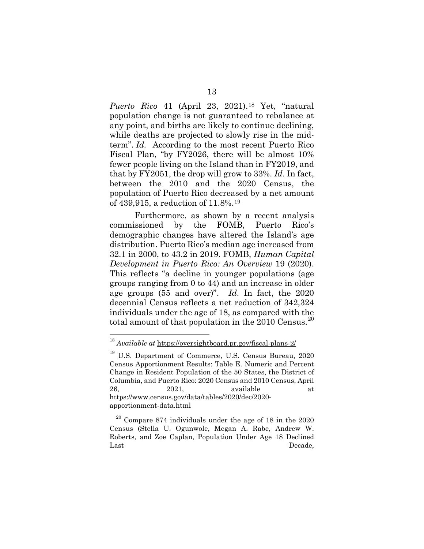*Puerto Rico* 41 (April 23, 2021).[18](#page-22-0) Yet, "natural population change is not guaranteed to rebalance at any point, and births are likely to continue declining, while deaths are projected to slowly rise in the midterm". *Id.* According to the most recent Puerto Rico Fiscal Plan, "by FY2026, there will be almost 10% fewer people living on the Island than in FY2019, and that by FY2051, the drop will grow to 33%. *Id*. In fact, between the 2010 and the 2020 Census, the population of Puerto Rico decreased by a net amount of 439,915, a reduction of 11.8%.[19](#page-22-1)

Furthermore, as shown by a recent analysis commissioned by the FOMB, Puerto Rico's demographic changes have altered the Island's age distribution. Puerto Rico's median age increased from 32.1 in 2000, to 43.2 in 2019. FOMB, *Human Capital Development in Puerto Rico: An Overview* 19 (2020). This reflects "a decline in younger populations (age groups ranging from 0 to 44) and an increase in older age groups (55 and over)". *Id*. In fact, the 2020 decennial Census reflects a net reduction of 342,324 individuals under the age of 18, as compared with the total amount of that population in the  $2010$  $2010$  Census.<sup>20</sup>

<span id="page-22-0"></span><sup>18</sup> *Available at* <https://oversightboard.pr.gov/fiscal-plans-2/>

<span id="page-22-1"></span><sup>19</sup> U.S. Department of Commerce, U.S. Census Bureau, 2020 Census Apportionment Results: Table E. Numeric and Percent Change in Resident Population of the 50 States, the District of Columbia, and Puerto Rico: 2020 Census and 2010 Census, April 26, 2021, available at https://www.census.gov/data/tables/2020/dec/2020 apportionment-data.html

<span id="page-22-2"></span> $20$  Compare 874 individuals under the age of 18 in the 2020 Census (Stella U. Ogunwole, Megan A. Rabe, Andrew W. Roberts, and Zoe Caplan, Population Under Age 18 Declined Last Decade,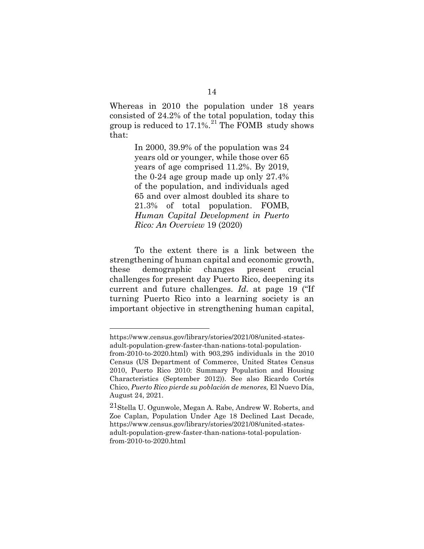Whereas in 2010 the population under 18 years consisted of 24.2% of the total population, today this group is reduced to  $17.1\%$ <sup>[21](#page-23-0)</sup> The FOMB study shows that:

> In 2000, 39.9% of the population was 24 years old or younger, while those over 65 years of age comprised 11.2%. By 2019, the 0-24 age group made up only 27.4% of the population, and individuals aged 65 and over almost doubled its share to 21.3% of total population. FOMB, *Human Capital Development in Puerto Rico: An Overview* 19 (2020)

To the extent there is a link between the strengthening of human capital and economic growth, these demographic changes present crucial challenges for present day Puerto Rico, deepening its current and future challenges. *Id*. at page 19 ("If turning Puerto Rico into a learning society is an important objective in strengthening human capital,

https://www.census.gov/library/stories/2021/08/united-statesadult-population-grew-faster-than-nations-total-population-

from-2010-to-2020.html) with 903,295 individuals in the 2010 Census (US Department of Commerce, United States Census 2010, Puerto Rico 2010: Summary Population and Housing Characteristics (September 2012)). See also Ricardo Cortés Chico, *Puerto Rico pierde su población de menores,* El Nuevo Día, August 24, 2021.

<span id="page-23-0"></span><sup>21</sup>Stella U. Ogunwole, Megan A. Rabe, Andrew W. Roberts, and Zoe Caplan, Population Under Age 18 Declined Last Decade, https://www.census.gov/library/stories/2021/08/united-statesadult-population-grew-faster-than-nations-total-populationfrom-2010-to-2020.html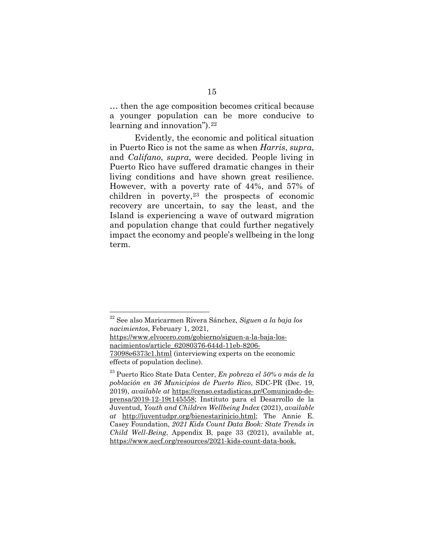… then the age composition becomes critical because a younger population can be more conducive to learning and innovation").<sup>[22](#page-24-0)</sup>

Evidently, the economic and political situation in Puerto Rico is not the same as when *Harris*, *supra*, and *Califano*, *supra*, were decided. People living in Puerto Rico have suffered dramatic changes in their living conditions and have shown great resilience. However, with a poverty rate of 44%, and 57% of children in poverty, $23$  the prospects of economic recovery are uncertain, to say the least, and the Island is experiencing a wave of outward migration and population change that could further negatively impact the economy and people's wellbeing in the long term.

[https://www.elvocero.com/gobierno/siguen-a-la-baja-los](https://www.elvocero.com/gobierno/siguen-a-la-baja-los-nacimientos/article_62080376-644d-11eb-8206-73098e6373c1.html)[nacimientos/article\\_62080376-644d-11eb-8206-](https://www.elvocero.com/gobierno/siguen-a-la-baja-los-nacimientos/article_62080376-644d-11eb-8206-73098e6373c1.html) [73098e6373c1.html](https://www.elvocero.com/gobierno/siguen-a-la-baja-los-nacimientos/article_62080376-644d-11eb-8206-73098e6373c1.html) (interviewing experts on the economic

<span id="page-24-0"></span><sup>22</sup> See also Maricarmen Rivera Sánchez, *Siguen a la baja los nacimientos*, February 1, 2021,

<span id="page-24-1"></span>effects of population decline).

<sup>23</sup> Puerto Rico State Data Center, *En pobreza el 50% o más de la población en 36 Municipios de Puerto Rico*, SDC-PR (Dec. 19, 2019), *available at* [https://censo.estadisticas.pr/Comunicado-de](https://censo.estadisticas.pr/Comunicado-de-prensa/2019-12-19t145558)[prensa/2019-12-19t145558;](https://censo.estadisticas.pr/Comunicado-de-prensa/2019-12-19t145558) Instituto para el Desarrollo de la Juventud, *Youth and Children Wellbeing Index* (2021), *available at* [http://juventudpr.org/bienestarinicio.html;](http://juventudpr.org/bienestarinicio.html) The Annie E. Casey Foundation, *2021 Kids Count Data Book: State Trends in Child Well-Being*, Appendix B, page 33 (2021), available at, https://www.aecf.org/resources/2021-kids-count-data-book.